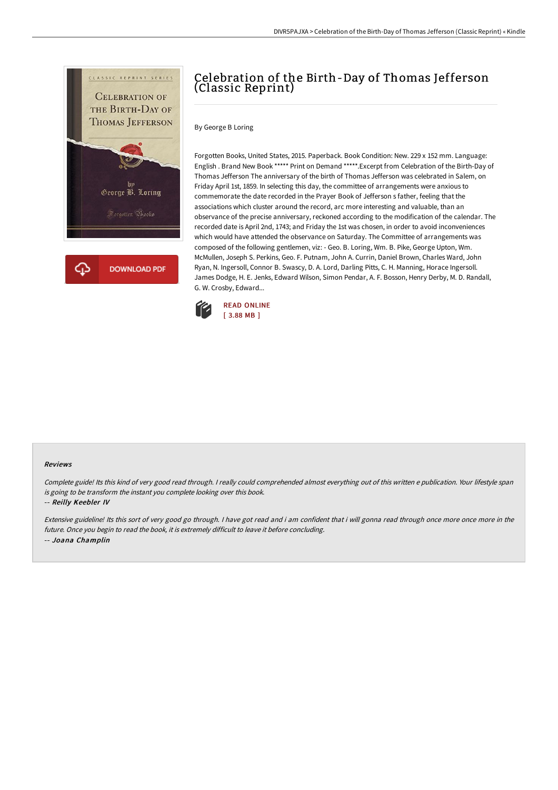

## Celebration of the Birth-Day of Thomas Jefferson (Classic Reprint)

By George B Loring

Forgotten Books, United States, 2015. Paperback. Book Condition: New. 229 x 152 mm. Language: English . Brand New Book \*\*\*\*\* Print on Demand \*\*\*\*\*.Excerpt from Celebration of the Birth-Day of Thomas Jefferson The anniversary of the birth of Thomas Jefferson was celebrated in Salem, on Friday April 1st, 1859. In selecting this day, the committee of arrangements were anxious to commemorate the date recorded in the Prayer Book of Jefferson s father, feeling that the associations which cluster around the record, arc more interesting and valuable, than an observance of the precise anniversary, reckoned according to the modification of the calendar. The recorded date is April 2nd, 1743; and Friday the 1st was chosen, in order to avoid inconveniences which would have attended the observance on Saturday. The Committee of arrangements was composed of the following gentlemen, viz: - Geo. B. Loring, Wm. B. Pike, George Upton, Wm. McMullen, Joseph S. Perkins, Geo. F. Putnam, John A. Currin, Daniel Brown, Charles Ward, John Ryan, N. Ingersoll, Connor B. Swascy, D. A. Lord, Darling Pitts, C. H. Manning, Horace Ingersoll. James Dodge, H. E. Jenks, Edward Wilson, Simon Pendar, A. F. Bosson, Henry Derby, M. D. Randall, G. W. Crosby, Edward...



## Reviews

Complete guide! Its this kind of very good read through. <sup>I</sup> really could comprehended almost everything out of this written <sup>e</sup> publication. Your lifestyle span is going to be transform the instant you complete looking over this book.

-- Reilly Keebler IV

Extensive guideline! Its this sort of very good go through. <sup>I</sup> have got read and i am confident that i will gonna read through once more once more in the future. Once you begin to read the book, it is extremely difficult to leave it before concluding. -- Joana Champlin